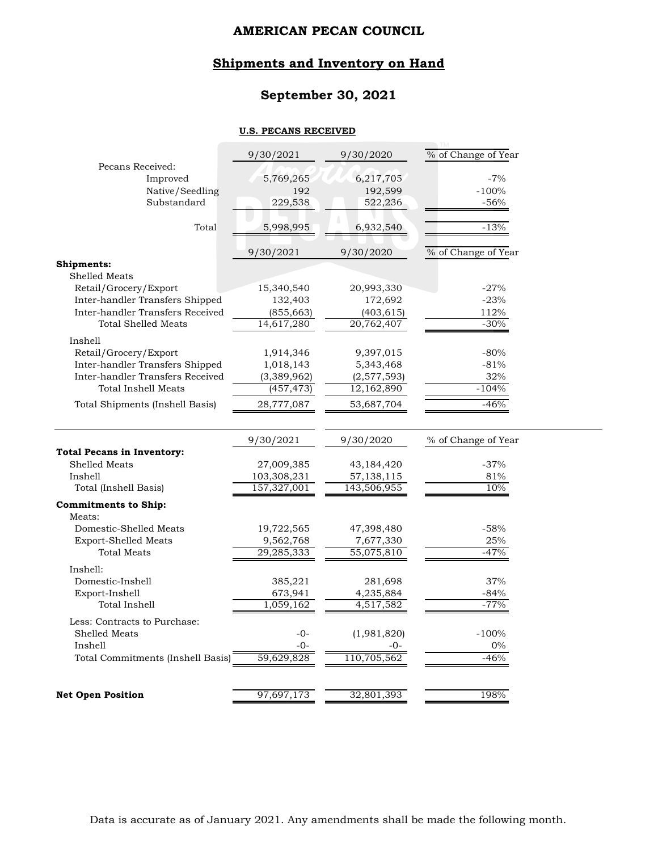# **Shipments and Inventory on Hand**

# **September 30, 2021**

#### **U.S. PECANS RECEIVED**

|                                                                                                       | 9/30/2021               | 9/30/2020               | % of Change of Year |
|-------------------------------------------------------------------------------------------------------|-------------------------|-------------------------|---------------------|
| Pecans Received:                                                                                      |                         |                         |                     |
| Improved<br>Native/Seedling                                                                           | 5,769,265<br>192        | 6,217,705<br>192,599    | $-7%$<br>$-100%$    |
| Substandard                                                                                           | 229,538                 | 522,236                 | $-56%$              |
|                                                                                                       |                         |                         |                     |
| Total                                                                                                 | 5,998,995               | 6,932,540               | $-13%$              |
|                                                                                                       | 9/30/2021               | 9/30/2020               | % of Change of Year |
| Shipments:                                                                                            |                         |                         |                     |
| Shelled Meats                                                                                         |                         |                         |                     |
| Retail/Grocery/Export                                                                                 | 15,340,540              | 20,993,330              | $-27%$              |
| Inter-handler Transfers Shipped                                                                       | 132,403                 | 172,692                 | $-23%$              |
| Inter-handler Transfers Received                                                                      | (855, 663)              | (403, 615)              | 112%                |
| Total Shelled Meats                                                                                   | 14,617,280              | 20,762,407              | $-30%$              |
| Inshell                                                                                               |                         |                         |                     |
| Retail/Grocery/Export                                                                                 | 1,914,346               | 9,397,015               | $-80%$              |
| Inter-handler Transfers Shipped                                                                       | 1,018,143               | 5,343,468               | $-81%$              |
| Inter-handler Transfers Received                                                                      | (3,389,962)             | (2,577,593)             | 32%                 |
| <b>Total Inshell Meats</b>                                                                            | (457, 473)              | 12,162,890              | $-104%$             |
| Total Shipments (Inshell Basis)                                                                       | 28,777,087              | 53,687,704              | $-46%$              |
|                                                                                                       |                         |                         |                     |
|                                                                                                       |                         |                         |                     |
|                                                                                                       | 9/30/2021               | 9/30/2020               | % of Change of Year |
|                                                                                                       |                         |                         |                     |
| Shelled Meats                                                                                         | 27,009,385              | 43,184,420              | $-37%$              |
| Inshell                                                                                               | 103,308,231             | 57,138,115              | 81%                 |
| Total (Inshell Basis)                                                                                 | 157,327,001             | 143,506,955             | 10%                 |
|                                                                                                       |                         |                         |                     |
| Meats:                                                                                                |                         |                         |                     |
| Domestic-Shelled Meats                                                                                | 19,722,565              | 47,398,480              | $-58%$              |
| <b>Export-Shelled Meats</b><br><b>Total Meats</b>                                                     | 9,562,768<br>29,285,333 | 7,677,330<br>55,075,810 | 25%<br>$-47%$       |
|                                                                                                       |                         |                         |                     |
| Inshell:                                                                                              |                         |                         |                     |
| Domestic-Inshell                                                                                      | 385,221                 | 281,698                 | 37%                 |
| Export-Inshell<br>Total Inshell                                                                       | 673,941<br>1,059,162    | 4,235,884               | $-84%$<br>$-77%$    |
|                                                                                                       |                         | 4,517,582               |                     |
| Less: Contracts to Purchase:                                                                          |                         |                         |                     |
| Shelled Meats<br>Inshell                                                                              | $-0-$<br>$-0-$          | (1,981,820)<br>-0-      | $-100%$<br>$0\%$    |
| <b>Total Pecans in Inventory:</b><br><b>Commitments to Ship:</b><br>Total Commitments (Inshell Basis) | 59,629,828              | 110,705,562             | $-46%$              |
|                                                                                                       | 97,697,173              | 32,801,393              |                     |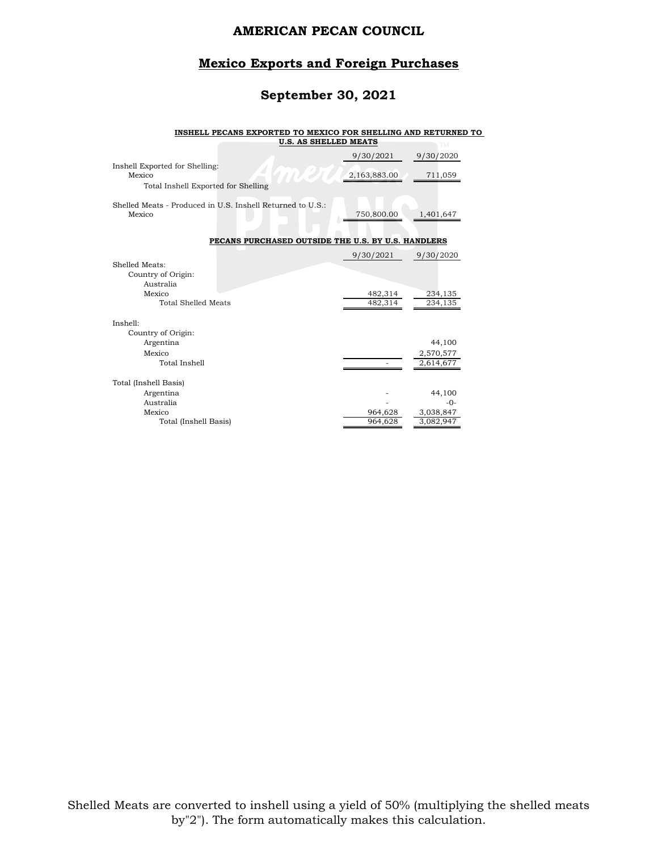### **Mexico Exports and Foreign Purchases**

# **September 30, 2021**

#### **INSHELL PECANS EXPORTED TO MEXICO FOR SHELLING AND RETURNED TO**

|                                                                                           | <b>U.S. AS SHELLED MEATS</b>                               |                    | <b>TM</b>                        |
|-------------------------------------------------------------------------------------------|------------------------------------------------------------|--------------------|----------------------------------|
|                                                                                           |                                                            | 9/30/2021          | 9/30/2020                        |
| Inshell Exported for Shelling:<br>Mexico<br>Total Inshell Exported for Shelling           |                                                            | 2,163,883.00       | 711,059                          |
| Mexico                                                                                    | Shelled Meats - Produced in U.S. Inshell Returned to U.S.: | 750,800.00         | 1,401,647                        |
|                                                                                           | PECANS PURCHASED OUTSIDE THE U.S. BY U.S. HANDLERS         |                    |                                  |
|                                                                                           |                                                            | 9/30/2021          | 9/30/2020                        |
| Shelled Meats:<br>Country of Origin:<br>Australia<br>Mexico<br><b>Total Shelled Meats</b> |                                                            | 482,314<br>482,314 | 234,135<br>234,135               |
| Inshell:                                                                                  |                                                            |                    |                                  |
| Country of Origin:<br>Argentina<br>Mexico<br>Total Inshell                                |                                                            |                    | 44,100<br>2,570,577<br>2,614,677 |
| Total (Inshell Basis)                                                                     |                                                            |                    |                                  |
| Argentina<br>Australia                                                                    |                                                            |                    | 44,100<br>$-0-$                  |
| Mexico                                                                                    |                                                            | 964,628            | 3,038,847                        |
| Total (Inshell Basis)                                                                     |                                                            | 964,628            | 3,082,947                        |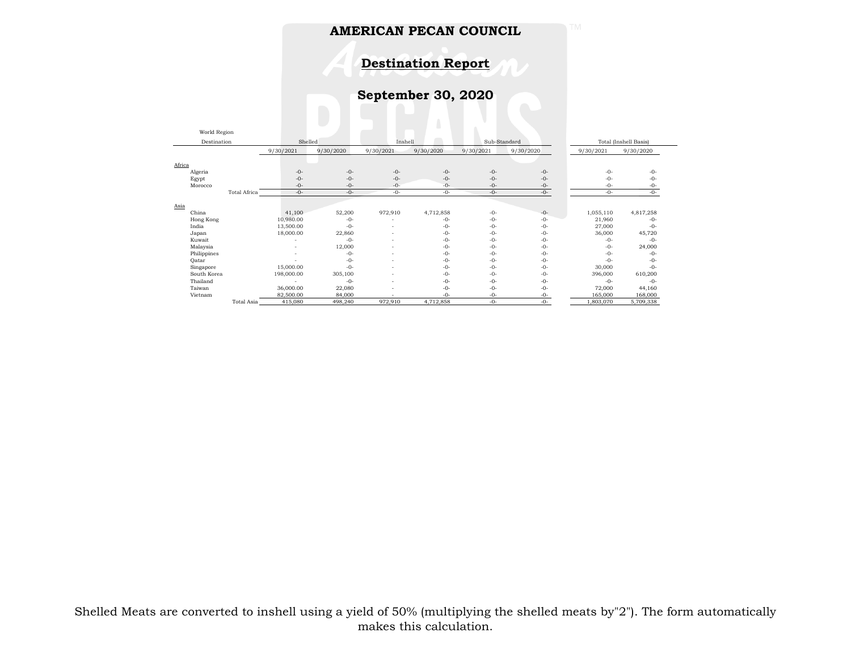**Destination Report**

**September 30, 2020**

| World Region |              |            |           |           |           |              |           |           |                       |
|--------------|--------------|------------|-----------|-----------|-----------|--------------|-----------|-----------|-----------------------|
| Destination  |              | Shelled    |           | Inshell   |           | Sub-Standard |           |           | Total (Inshell Basis) |
|              |              | 9/30/2021  | 9/30/2020 | 9/30/2021 | 9/30/2020 | 9/30/2021    | 9/30/2020 | 9/30/2021 | 9/30/2020             |
|              |              |            |           |           |           |              |           |           |                       |
| Africa       |              |            |           |           |           |              |           |           |                       |
| Algeria      |              | $-0-$      | $-0-$     | $-0-$     | $-0-$     | $-0-$        | $-0-$     | $-0-$     | $-0-$                 |
| Egypt        |              | $-0-$      | $-0-$     | $-0-$     | $-0-$     | $-0-$        | $-0-$     | $-0-$     | $-0-$                 |
| Morocco      |              | $-0-$      | $-0-$     | $-0-$     | $-0-$     | $-0-$        | $-0-$     | $-0-$     | -0-                   |
|              | Total Africa | $-0-$      | $-0-$     | $-0-$     | $-0-$     | $-0-$        | $-0-$     | $-0-$     | $-0-$                 |
|              |              |            |           |           |           |              |           |           |                       |
| Asia         |              |            |           |           |           |              |           |           |                       |
| China        |              | 41,100     | 52,200    | 972,910   | 4,712,858 | $-0-$        | $-0-$     | 1,055,110 | 4,817,258             |
| Hong Kong    |              | 10,980.00  | $-0-$     |           | $-0-$     | $-0-$        | $-0-$     | 21,960    | $-0-$                 |
| India        |              | 13,500.00  | $-0-$     | <b>.</b>  | $-0-$     | $-0-$        | $-0-$     | 27,000    | $-0-$                 |
| Japan        |              | 18,000.00  | 22,860    | <b>.</b>  | $-0-$     | $-0-$        | $-0-$     | 36,000    | 45,720                |
| Kuwait       |              |            | $-() -$   | <b>.</b>  | $-0-$     | $-0-$        | $-0-$     | $-()$ -   | $-0-$                 |
| Malaysia     |              |            | 12,000    |           | $-0-$     | $-0-$        | $-0-$     | $-0-$     | 24,000                |
| Philippines  |              |            | $-0-$     |           | $-0-$     | $-0-$        | $-0-$     | $-()$ -   | $-0-$                 |
| Qatar        |              |            | $-0-$     |           | $-0-$     | $-0-$        | $-0-$     | $-0-$     | $-0-$                 |
| Singapore    |              | 15,000.00  | $-0-$     |           | $-0-$     | $-0-$        | $-0-$     | 30,000    | $-0-$                 |
| South Korea  |              | 198,000.00 | 305,100   | $\sim$    | $-0-$     | $-0-$        | $-0-$     | 396,000   | 610,200               |
| Thailand     |              |            | $-0-$     | <b>.</b>  | $-0-$     | $-0-$        | $-0-$     | $-0-$     | $-0-$                 |
| Taiwan       |              | 36,000.00  | 22,080    |           | $-0-$     | $-0-$        | $-0-$     | 72,000    | 44,160                |
| Vietnam      |              | 82,500.00  | 84,000    |           | $-0-$     | $-0-$        | $-0-$     | 165,000   | 168,000               |
|              | Total Asia   | 415,080    | 498,240   | 972,910   | 4,712,858 | $-0-$        | $-0-$     | 1,803,070 | 5,709,338             |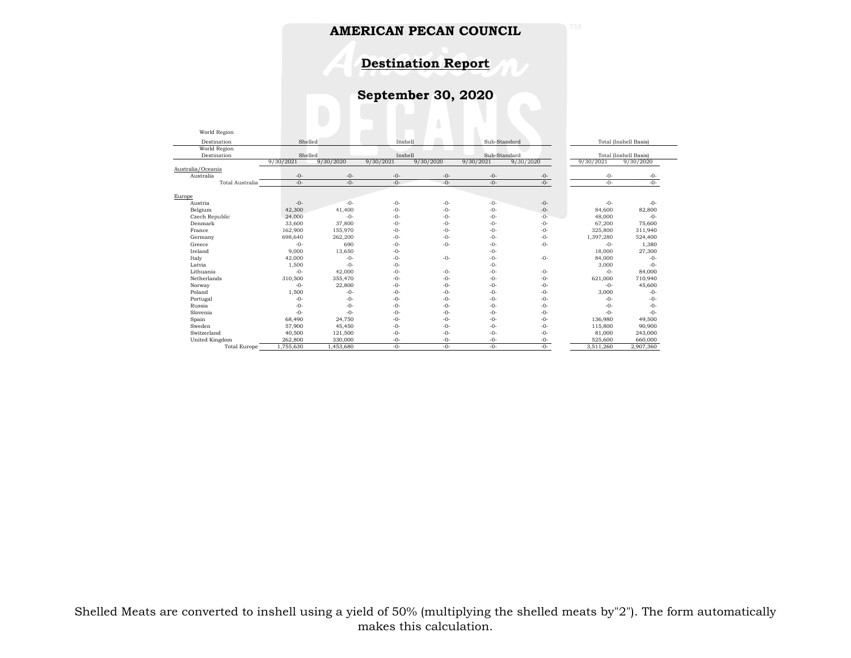**Destination Report**

**September 30, 2020**

| World Region        |           |                    |           |              |           |                       |           |                       |  |
|---------------------|-----------|--------------------|-----------|--------------|-----------|-----------------------|-----------|-----------------------|--|
| Destination         |           | Shelled<br>Inshell |           | Sub-Standard |           | Total (Inshell Basis) |           |                       |  |
| World Region        |           |                    |           |              |           |                       |           |                       |  |
| Destination         | Shelled   |                    |           | Inshell      |           | Sub-Standard          |           | Total (Inshell Basis) |  |
|                     | 9/30/2021 | 9/30/2020          | 9/30/2021 | 9/30/2020    | 9/30/2021 | 9/30/2020             | 9/30/2021 | 9/30/2020             |  |
| Australia/Oceania   |           |                    |           |              |           |                       |           |                       |  |
| Australia           | $-0-$     | $-0-$              | $-0-$     | $-0-$        | $-0-$     | $-0-$                 | $-0-$     | $-0-$                 |  |
| Total Australia     | $-0-$     | $-0-$              | $-()$ -   | $-0-$        | $-0-$     | $-0-$                 | $-() -$   | $-0-$                 |  |
|                     |           |                    |           |              |           |                       |           |                       |  |
| Europe              |           |                    |           |              |           |                       |           |                       |  |
| Austria             | $-0-$     | $-0-$              | $-()$ -   | $-0-$        | $-0-$     | $-0-$                 | $-0-$     | $-()$ -               |  |
| Belgium             | 42,300    | 41,400             | $-0-$     | $-0-$        | $-0-$     | $-0-$                 | 84,600    | 82,800                |  |
| Czech Republic      | 24,000    | $-0-$              | $-0-$     | $-0-$        | $-0-$     | $-0-$                 | 48,000    | $-() -$               |  |
| Denmark             | 33,600    | 37,800             | $-()$ -   | $-0-$        | $-0-$     | $-0-$                 | 67.200    | 75,600                |  |
| France              | 162,900   | 155,970            | $-0-$     | $-0-$        | $-0-$     | $-0-$                 | 325,800   | 311,940               |  |
| Germany             | 698,640   | 262,200            | $-0-$     | $-0-$        | $-0-$     | $-0-$                 | 1,397,280 | 524,400               |  |
| Greece              | $-0-$     | 690                | $-0-$     | $-0-$        | $-0-$     | $-0-$                 | $-0-$     | 1,380                 |  |
| Ireland             | 9.000     | 13.650             | $-0-$     |              | $-() -$   |                       | 18,000    | 27,300                |  |
| Italy               | 42,000    | $-()$ -            | $-0-$     | $-0-$        | $-0-$     | $-0-$                 | 84,000    | $-() -$               |  |
| Latvia              | 1,500     | $-0-$              | $-() -$   |              | $-0-$     |                       | 3,000     | $-0-$                 |  |
| Lithuania           | $-0-$     | 42,000             | $-0-$     | $-0-$        | $-0-$     | $-0-$                 | $-0-$     | 84,000                |  |
| Netherlands         | 310,500   | 355,470            | $-0-$     | $-0-$        | $-0-$     | $-0-$                 | 621,000   | 710,940               |  |
| Norway              | $-0-$     | 22,800             | $-0-$     | $-0-$        | $-0-$     | $-0-$                 | $-0-$     | 45,600                |  |
| Poland              | 1.500     | $-0-$              | $-0-$     | $-0-$        | $-0-$     | $-0-$                 | 3.000     | $-0-$                 |  |
| Portugal            | $-0-$     | $-()$ -            | $-() -$   | $-0-$        | $-0-$     | $-()$ -               | $-0-$     | $-() -$               |  |
| Russia              | $-0-$     | $-0-$              | $-() -$   | $-0-$        | $-0-$     | $-0-$                 | $-0-$     | $-() -$               |  |
| Slovenia            | $-0-$     | $-0-$              | $-0-$     | $-0-$        | $-0-$     | $-0-$                 | $-0-$     | $-0-$                 |  |
| Spain               | 68,490    | 24,750             | $-0-$     | $-0-$        | $-0-$     | $-0-$                 | 136,980   | 49,500                |  |
| Sweden              | 57,900    | 45,450             | $-0-$     | $-0-$        | $-0-$     | $-0-$                 | 115,800   | 90,900                |  |
| Switzerland         | 40,500    | 121,500            | $-0-$     | $-0-$        | $-0-$     | $-0-$                 | 81,000    | 243,000               |  |
| United Kingdom      | 262,800   | 330,000            | $-0-$     | $-0-$        | $-0-$     | $-0-$                 | 525.600   | 660,000               |  |
| <b>Total Europe</b> | 1,755,630 | 1,453,680          | $-()$ -   | $-0-$        | $-0-$     | $-()$ -               | 3,511,260 | 2,907,360             |  |